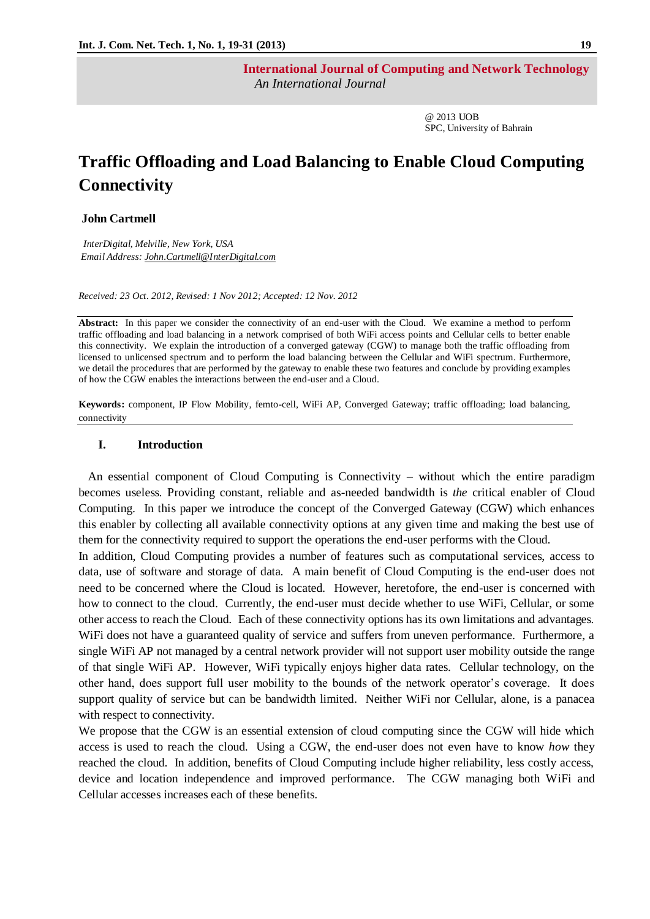**International Journal of Computing and Network Technology**  *An International Journal*

> @ 2013 UOB SPC, University of Bahrain

# **Traffic Offloading and Load Balancing to Enable Cloud Computing Connectivity**

## **John Cartmell**

 *InterDigital, Melville, New York, USA Email Address: John.Cartmell@InterDigital.com*

*Received: 23 Oct. 2012, Revised: 1 Nov 2012; Accepted: 12 Nov. 2012*

**Abstract:** In this paper we consider the connectivity of an end-user with the Cloud. We examine a method to perform traffic offloading and load balancing in a network comprised of both WiFi access points and Cellular cells to better enable this connectivity. We explain the introduction of a converged gateway (CGW) to manage both the traffic offloading from licensed to unlicensed spectrum and to perform the load balancing between the Cellular and WiFi spectrum. Furthermore, we detail the procedures that are performed by the gateway to enable these two features and conclude by providing examples of how the CGW enables the interactions between the end-user and a Cloud.

**Keywords:** component, IP Flow Mobility, femto-cell, WiFi AP, Converged Gateway; traffic offloading; load balancing, connectivity

## **I. Introduction**

 An essential component of Cloud Computing is Connectivity – without which the entire paradigm becomes useless. Providing constant, reliable and as-needed bandwidth is *the* critical enabler of Cloud Computing. In this paper we introduce the concept of the Converged Gateway (CGW) which enhances this enabler by collecting all available connectivity options at any given time and making the best use of them for the connectivity required to support the operations the end-user performs with the Cloud.

In addition, Cloud Computing provides a number of features such as computational services, access to data, use of software and storage of data. A main benefit of Cloud Computing is the end-user does not need to be concerned where the Cloud is located. However, heretofore, the end-user is concerned with how to connect to the cloud. Currently, the end-user must decide whether to use WiFi, Cellular, or some other access to reach the Cloud. Each of these connectivity options has its own limitations and advantages. WiFi does not have a guaranteed quality of service and suffers from uneven performance. Furthermore, a single WiFi AP not managed by a central network provider will not support user mobility outside the range of that single WiFi AP. However, WiFi typically enjoys higher data rates. Cellular technology, on the other hand, does support full user mobility to the bounds of the network operator"s coverage. It does support quality of service but can be bandwidth limited. Neither WiFi nor Cellular, alone, is a panacea with respect to connectivity.

We propose that the CGW is an essential extension of cloud computing since the CGW will hide which access is used to reach the cloud. Using a CGW, the end-user does not even have to know *how* they reached the cloud. In addition, benefits of Cloud Computing include higher reliability, less costly access, device and location independence and improved performance. The CGW managing both WiFi and Cellular accesses increases each of these benefits.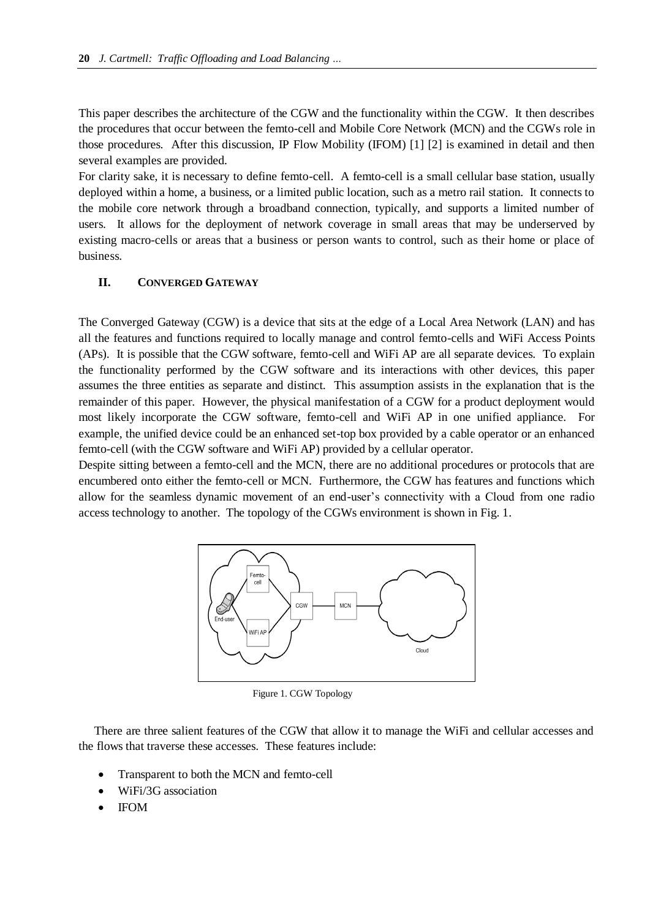This paper describes the architecture of the CGW and the functionality within the CGW. It then describes the procedures that occur between the femto-cell and Mobile Core Network (MCN) and the CGWs role in those procedures. After this discussion, IP Flow Mobility (IFOM) [1] [2] is examined in detail and then several examples are provided.

For clarity sake, it is necessary to define femto-cell. A femto-cell is a small cellular base station, usually deployed within a home, a business, or a limited public location, such as a metro rail station. It connects to the mobile core network through a broadband connection, typically, and supports a limited number of users. It allows for the deployment of network coverage in small areas that may be underserved by existing macro-cells or areas that a business or person wants to control, such as their home or place of business.

# **II. CONVERGED GATEWAY**

The Converged Gateway (CGW) is a device that sits at the edge of a Local Area Network (LAN) and has all the features and functions required to locally manage and control femto-cells and WiFi Access Points (APs). It is possible that the CGW software, femto-cell and WiFi AP are all separate devices. To explain the functionality performed by the CGW software and its interactions with other devices, this paper assumes the three entities as separate and distinct. This assumption assists in the explanation that is the remainder of this paper. However, the physical manifestation of a CGW for a product deployment would most likely incorporate the CGW software, femto-cell and WiFi AP in one unified appliance. For example, the unified device could be an enhanced set-top box provided by a cable operator or an enhanced femto-cell (with the CGW software and WiFi AP) provided by a cellular operator.

Despite sitting between a femto-cell and the MCN, there are no additional procedures or protocols that are encumbered onto either the femto-cell or MCN. Furthermore, the CGW has features and functions which allow for the seamless dynamic movement of an end-user"s connectivity with a Cloud from one radio access technology to another. The topology of the CGWs environment is shown in Fig. 1.



Figure 1. CGW Topology

There are three salient features of the CGW that allow it to manage the WiFi and cellular accesses and the flows that traverse these accesses. These features include:

- Transparent to both the MCN and femto-cell
- WiFi/3G association
- IFOM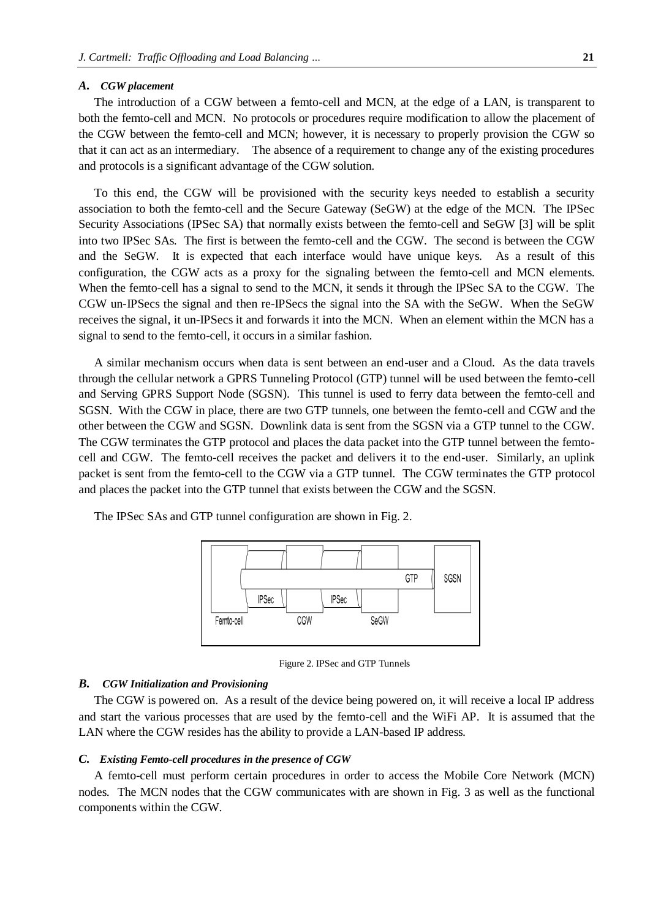#### *A. CGW placement*

The introduction of a CGW between a femto-cell and MCN, at the edge of a LAN, is transparent to both the femto-cell and MCN. No protocols or procedures require modification to allow the placement of the CGW between the femto-cell and MCN; however, it is necessary to properly provision the CGW so that it can act as an intermediary. The absence of a requirement to change any of the existing procedures and protocols is a significant advantage of the CGW solution.

To this end, the CGW will be provisioned with the security keys needed to establish a security association to both the femto-cell and the Secure Gateway (SeGW) at the edge of the MCN. The IPSec Security Associations (IPSec SA) that normally exists between the femto-cell and SeGW [3] will be split into two IPSec SAs. The first is between the femto-cell and the CGW. The second is between the CGW and the SeGW. It is expected that each interface would have unique keys. As a result of this configuration, the CGW acts as a proxy for the signaling between the femto-cell and MCN elements. When the femto-cell has a signal to send to the MCN, it sends it through the IPSec SA to the CGW. The CGW un-IPSecs the signal and then re-IPSecs the signal into the SA with the SeGW. When the SeGW receives the signal, it un-IPSecs it and forwards it into the MCN. When an element within the MCN has a signal to send to the femto-cell, it occurs in a similar fashion.

A similar mechanism occurs when data is sent between an end-user and a Cloud. As the data travels through the cellular network a GPRS Tunneling Protocol (GTP) tunnel will be used between the femto-cell and Serving GPRS Support Node (SGSN). This tunnel is used to ferry data between the femto-cell and SGSN. With the CGW in place, there are two GTP tunnels, one between the femto-cell and CGW and the other between the CGW and SGSN. Downlink data is sent from the SGSN via a GTP tunnel to the CGW. The CGW terminates the GTP protocol and places the data packet into the GTP tunnel between the femtocell and CGW. The femto-cell receives the packet and delivers it to the end-user. Similarly, an uplink packet is sent from the femto-cell to the CGW via a GTP tunnel. The CGW terminates the GTP protocol and places the packet into the GTP tunnel that exists between the CGW and the SGSN.



The IPSec SAs and GTP tunnel configuration are shown in Fig. 2.

Figure 2. IPSec and GTP Tunnels

### *B. CGW Initialization and Provisioning*

The CGW is powered on. As a result of the device being powered on, it will receive a local IP address and start the various processes that are used by the femto-cell and the WiFi AP. It is assumed that the LAN where the CGW resides has the ability to provide a LAN-based IP address.

#### *C. Existing Femto-cell procedures in the presence of CGW*

A femto-cell must perform certain procedures in order to access the Mobile Core Network (MCN) nodes. The MCN nodes that the CGW communicates with are shown in Fig. 3 as well as the functional components within the CGW.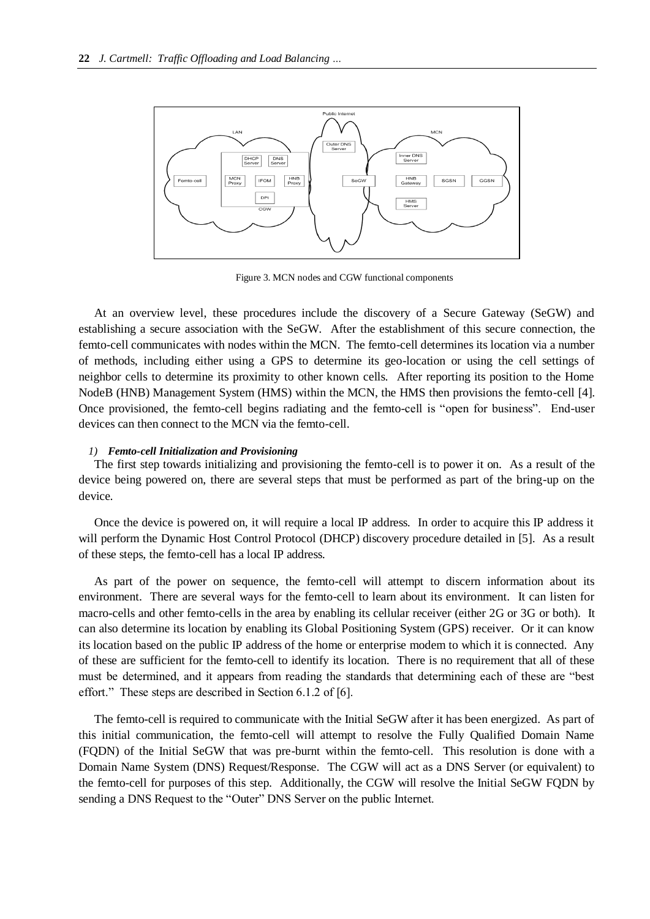

Figure 3. MCN nodes and CGW functional components

At an overview level, these procedures include the discovery of a Secure Gateway (SeGW) and establishing a secure association with the SeGW. After the establishment of this secure connection, the femto-cell communicates with nodes within the MCN. The femto-cell determines its location via a number of methods, including either using a GPS to determine its geo-location or using the cell settings of neighbor cells to determine its proximity to other known cells. After reporting its position to the Home NodeB (HNB) Management System (HMS) within the MCN, the HMS then provisions the femto-cell [4]. Once provisioned, the femto-cell begins radiating and the femto-cell is "open for business". End-user devices can then connect to the MCN via the femto-cell.

## *1) Femto-cell Initialization and Provisioning*

The first step towards initializing and provisioning the femto-cell is to power it on. As a result of the device being powered on, there are several steps that must be performed as part of the bring-up on the device.

Once the device is powered on, it will require a local IP address. In order to acquire this IP address it will perform the Dynamic Host Control Protocol (DHCP) discovery procedure detailed in [5]. As a result of these steps, the femto-cell has a local IP address.

As part of the power on sequence, the femto-cell will attempt to discern information about its environment. There are several ways for the femto-cell to learn about its environment. It can listen for macro-cells and other femto-cells in the area by enabling its cellular receiver (either 2G or 3G or both). It can also determine its location by enabling its Global Positioning System (GPS) receiver. Or it can know its location based on the public IP address of the home or enterprise modem to which it is connected. Any of these are sufficient for the femto-cell to identify its location. There is no requirement that all of these must be determined, and it appears from reading the standards that determining each of these are "best effort." These steps are described in Section 6.1.2 of [6].

The femto-cell is required to communicate with the Initial SeGW after it has been energized. As part of this initial communication, the femto-cell will attempt to resolve the Fully Qualified Domain Name (FQDN) of the Initial SeGW that was pre-burnt within the femto-cell. This resolution is done with a Domain Name System (DNS) Request/Response. The CGW will act as a DNS Server (or equivalent) to the femto-cell for purposes of this step. Additionally, the CGW will resolve the Initial SeGW FQDN by sending a DNS Request to the "Outer" DNS Server on the public Internet.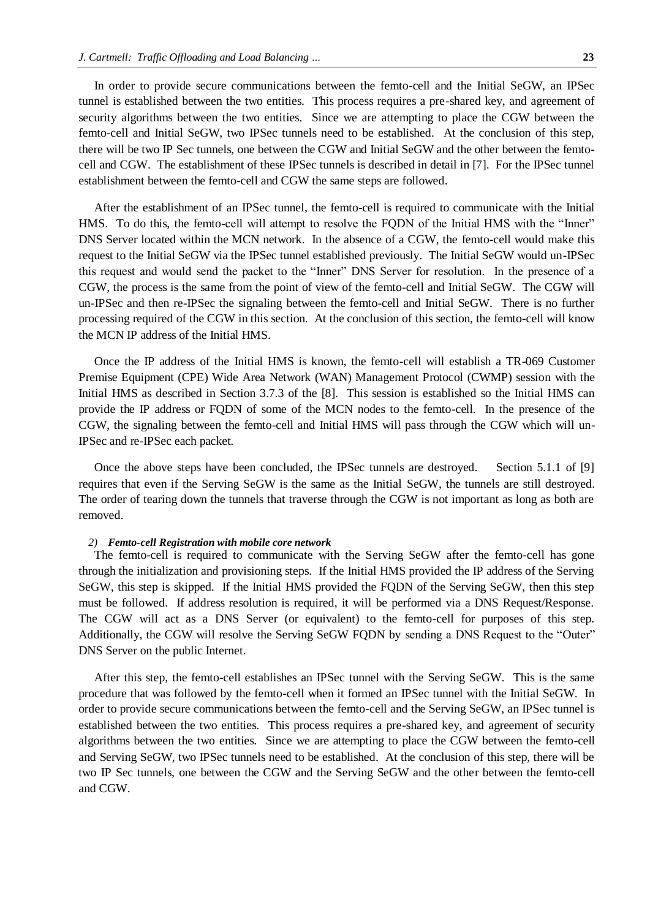In order to provide secure communications between the femto-cell and the Initial SeGW, an IPSec tunnel is established between the two entities. This process requires a pre-shared key, and agreement of security algorithms between the two entities. Since we are attempting to place the CGW between the femto-cell and Initial SeGW, two IPSec tunnels need to be established. At the conclusion of this step, there will be two IP Sec tunnels, one between the CGW and Initial SeGW and the other between the femtocell and CGW. The establishment of these IPSec tunnels is described in detail in [7]. For the IPSec tunnel establishment between the femto-cell and CGW the same steps are followed.

After the establishment of an IPSec tunnel, the femto-cell is required to communicate with the Initial HMS. To do this, the femto-cell will attempt to resolve the FQDN of the Initial HMS with the "Inner" DNS Server located within the MCN network. In the absence of a CGW, the femto-cell would make this request to the Initial SeGW via the IPSec tunnel established previously. The Initial SeGW would un-IPSec this request and would send the packet to the "Inner" DNS Server for resolution. In the presence of a CGW, the process is the same from the point of view of the femto-cell and Initial SeGW. The CGW will un-IPSec and then re-IPSec the signaling between the femto-cell and Initial SeGW. There is no further processing required of the CGW in this section. At the conclusion of this section, the femto-cell will know the MCN IP address of the Initial HMS.

Once the IP address of the Initial HMS is known, the femto-cell will establish a TR-069 Customer Premise Equipment (CPE) Wide Area Network (WAN) Management Protocol (CWMP) session with the Initial HMS as described in Section 3.7.3 of the [8]. This session is established so the Initial HMS can provide the IP address or FQDN of some of the MCN nodes to the femto-cell. In the presence of the CGW, the signaling between the femto-cell and Initial HMS will pass through the CGW which will un-IPSec and re-IPSec each packet.

Once the above steps have been concluded, the IPSec tunnels are destroyed. Section 5.1.1 of [9] requires that even if the Serving SeGW is the same as the Initial SeGW, the tunnels are still destroyed. The order of tearing down the tunnels that traverse through the CGW is not important as long as both are removed.

## *2) Femto-cell Registration with mobile core network*

The femto-cell is required to communicate with the Serving SeGW after the femto-cell has gone through the initialization and provisioning steps. If the Initial HMS provided the IP address of the Serving SeGW, this step is skipped. If the Initial HMS provided the FQDN of the Serving SeGW, then this step must be followed. If address resolution is required, it will be performed via a DNS Request/Response. The CGW will act as a DNS Server (or equivalent) to the femto-cell for purposes of this step. Additionally, the CGW will resolve the Serving SeGW FQDN by sending a DNS Request to the "Outer" DNS Server on the public Internet.

After this step, the femto-cell establishes an IPSec tunnel with the Serving SeGW. This is the same procedure that was followed by the femto-cell when it formed an IPSec tunnel with the Initial SeGW. In order to provide secure communications between the femto-cell and the Serving SeGW, an IPSec tunnel is established between the two entities. This process requires a pre-shared key, and agreement of security algorithms between the two entities. Since we are attempting to place the CGW between the femto-cell and Serving SeGW, two IPSec tunnels need to be established. At the conclusion of this step, there will be two IP Sec tunnels, one between the CGW and the Serving SeGW and the other between the femto-cell and CGW.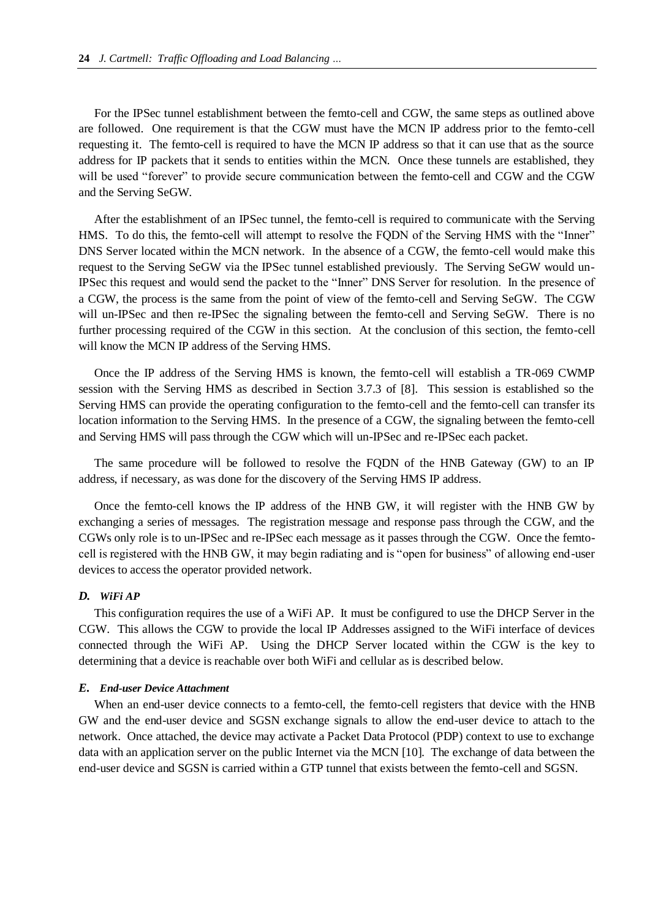For the IPSec tunnel establishment between the femto-cell and CGW, the same steps as outlined above are followed. One requirement is that the CGW must have the MCN IP address prior to the femto-cell requesting it. The femto-cell is required to have the MCN IP address so that it can use that as the source address for IP packets that it sends to entities within the MCN. Once these tunnels are established, they will be used "forever" to provide secure communication between the femto-cell and CGW and the CGW and the Serving SeGW.

After the establishment of an IPSec tunnel, the femto-cell is required to communicate with the Serving HMS. To do this, the femto-cell will attempt to resolve the FQDN of the Serving HMS with the "Inner" DNS Server located within the MCN network. In the absence of a CGW, the femto-cell would make this request to the Serving SeGW via the IPSec tunnel established previously. The Serving SeGW would un-IPSec this request and would send the packet to the "Inner" DNS Server for resolution. In the presence of a CGW, the process is the same from the point of view of the femto-cell and Serving SeGW. The CGW will un-IPSec and then re-IPSec the signaling between the femto-cell and Serving SeGW. There is no further processing required of the CGW in this section. At the conclusion of this section, the femto-cell will know the MCN IP address of the Serving HMS.

Once the IP address of the Serving HMS is known, the femto-cell will establish a TR-069 CWMP session with the Serving HMS as described in Section 3.7.3 of [8]. This session is established so the Serving HMS can provide the operating configuration to the femto-cell and the femto-cell can transfer its location information to the Serving HMS. In the presence of a CGW, the signaling between the femto-cell and Serving HMS will pass through the CGW which will un-IPSec and re-IPSec each packet.

The same procedure will be followed to resolve the FQDN of the HNB Gateway (GW) to an IP address, if necessary, as was done for the discovery of the Serving HMS IP address.

Once the femto-cell knows the IP address of the HNB GW, it will register with the HNB GW by exchanging a series of messages. The registration message and response pass through the CGW, and the CGWs only role is to un-IPSec and re-IPSec each message as it passes through the CGW. Once the femtocell is registered with the HNB GW, it may begin radiating and is "open for business" of allowing end-user devices to access the operator provided network.

## *D. WiFi AP*

This configuration requires the use of a WiFi AP. It must be configured to use the DHCP Server in the CGW. This allows the CGW to provide the local IP Addresses assigned to the WiFi interface of devices connected through the WiFi AP. Using the DHCP Server located within the CGW is the key to determining that a device is reachable over both WiFi and cellular as is described below.

# *E. End-user Device Attachment*

When an end-user device connects to a femto-cell, the femto-cell registers that device with the HNB GW and the end-user device and SGSN exchange signals to allow the end-user device to attach to the network. Once attached, the device may activate a Packet Data Protocol (PDP) context to use to exchange data with an application server on the public Internet via the MCN [10]. The exchange of data between the end-user device and SGSN is carried within a GTP tunnel that exists between the femto-cell and SGSN.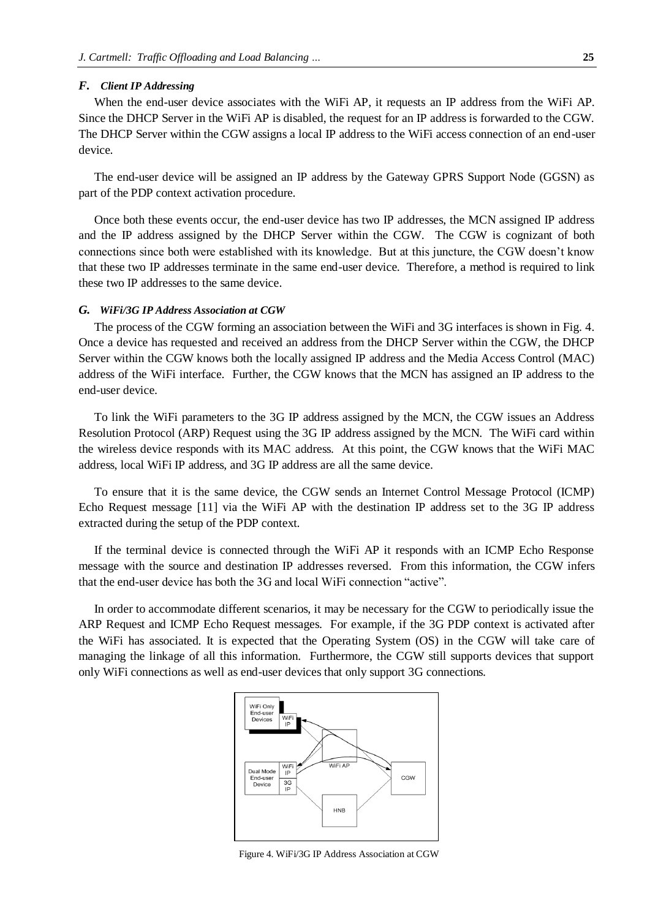## *F. Client IP Addressing*

When the end-user device associates with the WiFi AP, it requests an IP address from the WiFi AP. Since the DHCP Server in the WiFi AP is disabled, the request for an IP address is forwarded to the CGW. The DHCP Server within the CGW assigns a local IP address to the WiFi access connection of an end-user device.

The end-user device will be assigned an IP address by the Gateway GPRS Support Node (GGSN) as part of the PDP context activation procedure.

Once both these events occur, the end-user device has two IP addresses, the MCN assigned IP address and the IP address assigned by the DHCP Server within the CGW. The CGW is cognizant of both connections since both were established with its knowledge. But at this juncture, the CGW doesn"t know that these two IP addresses terminate in the same end-user device. Therefore, a method is required to link these two IP addresses to the same device.

# *G. WiFi/3G IP Address Association at CGW*

The process of the CGW forming an association between the WiFi and 3G interfaces is shown in Fig. 4. Once a device has requested and received an address from the DHCP Server within the CGW, the DHCP Server within the CGW knows both the locally assigned IP address and the Media Access Control (MAC) address of the WiFi interface. Further, the CGW knows that the MCN has assigned an IP address to the end-user device.

To link the WiFi parameters to the 3G IP address assigned by the MCN, the CGW issues an Address Resolution Protocol (ARP) Request using the 3G IP address assigned by the MCN. The WiFi card within the wireless device responds with its MAC address. At this point, the CGW knows that the WiFi MAC address, local WiFi IP address, and 3G IP address are all the same device.

To ensure that it is the same device, the CGW sends an Internet Control Message Protocol (ICMP) Echo Request message [11] via the WiFi AP with the destination IP address set to the 3G IP address extracted during the setup of the PDP context.

If the terminal device is connected through the WiFi AP it responds with an ICMP Echo Response message with the source and destination IP addresses reversed. From this information, the CGW infers that the end-user device has both the 3G and local WiFi connection "active".

In order to accommodate different scenarios, it may be necessary for the CGW to periodically issue the ARP Request and ICMP Echo Request messages. For example, if the 3G PDP context is activated after the WiFi has associated. It is expected that the Operating System (OS) in the CGW will take care of managing the linkage of all this information. Furthermore, the CGW still supports devices that support only WiFi connections as well as end-user devices that only support 3G connections.



Figure 4. WiFi/3G IP Address Association at CGW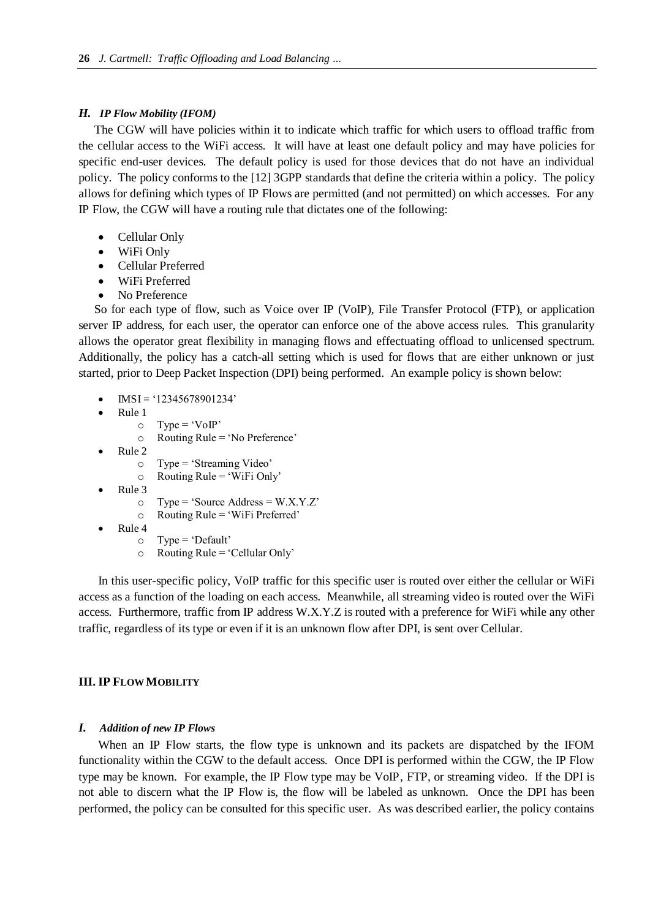# *H. IP Flow Mobility (IFOM)*

The CGW will have policies within it to indicate which traffic for which users to offload traffic from the cellular access to the WiFi access. It will have at least one default policy and may have policies for specific end-user devices. The default policy is used for those devices that do not have an individual policy. The policy conforms to the [12] 3GPP standards that define the criteria within a policy. The policy allows for defining which types of IP Flows are permitted (and not permitted) on which accesses. For any IP Flow, the CGW will have a routing rule that dictates one of the following:

- Cellular Only
- WiFi Only
- Cellular Preferred
- WiFi Preferred
- No Preference

So for each type of flow, such as Voice over IP (VoIP), File Transfer Protocol (FTP), or application server IP address, for each user, the operator can enforce one of the above access rules. This granularity allows the operator great flexibility in managing flows and effectuating offload to unlicensed spectrum. Additionally, the policy has a catch-all setting which is used for flows that are either unknown or just started, prior to Deep Packet Inspection (DPI) being performed. An example policy is shown below:

- $\bullet$  IMSI = '12345678901234'
- Rule 1
	- $\circ$  Type = 'VoIP'
	- $\circ$  Routing Rule = 'No Preference'
- Rule 2
	- o Type = "Streaming Video"
	- $\circ$  Routing Rule = 'WiFi Only'
- Rule 3
	- $\circ$  Type = 'Source Address = W.X.Y.Z'
	- $\circ$  Routing Rule = 'WiFi Preferred'
- Rule 4
	- $\circ$  Type = 'Default'
	- $\circ$  Routing Rule = 'Cellular Only'

In this user-specific policy, VoIP traffic for this specific user is routed over either the cellular or WiFi access as a function of the loading on each access. Meanwhile, all streaming video is routed over the WiFi access. Furthermore, traffic from IP address W.X.Y.Z is routed with a preference for WiFi while any other traffic, regardless of its type or even if it is an unknown flow after DPI, is sent over Cellular.

# **III. IP FLOW MOBILITY**

# *I. Addition of new IP Flows*

When an IP Flow starts, the flow type is unknown and its packets are dispatched by the IFOM functionality within the CGW to the default access. Once DPI is performed within the CGW, the IP Flow type may be known. For example, the IP Flow type may be VoIP, FTP, or streaming video. If the DPI is not able to discern what the IP Flow is, the flow will be labeled as unknown. Once the DPI has been performed, the policy can be consulted for this specific user. As was described earlier, the policy contains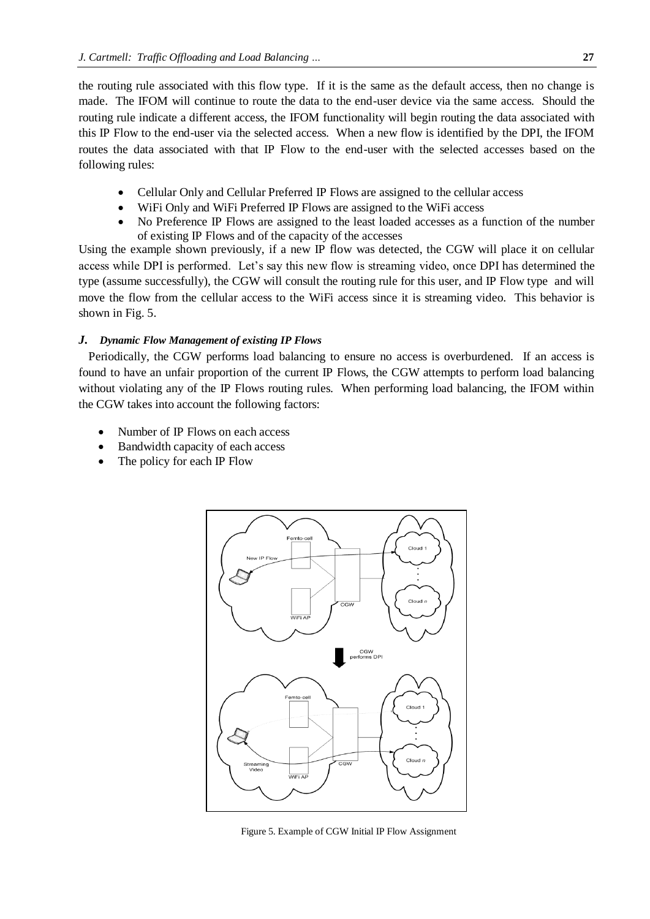the routing rule associated with this flow type. If it is the same as the default access, then no change is made. The IFOM will continue to route the data to the end-user device via the same access. Should the routing rule indicate a different access, the IFOM functionality will begin routing the data associated with this IP Flow to the end-user via the selected access. When a new flow is identified by the DPI, the IFOM routes the data associated with that IP Flow to the end-user with the selected accesses based on the following rules:

- Cellular Only and Cellular Preferred IP Flows are assigned to the cellular access
- WiFi Only and WiFi Preferred IP Flows are assigned to the WiFi access
- No Preference IP Flows are assigned to the least loaded accesses as a function of the number of existing IP Flows and of the capacity of the accesses

Using the example shown previously, if a new IP flow was detected, the CGW will place it on cellular access while DPI is performed. Let"s say this new flow is streaming video, once DPI has determined the type (assume successfully), the CGW will consult the routing rule for this user, and IP Flow type and will move the flow from the cellular access to the WiFi access since it is streaming video. This behavior is shown in Fig. 5.

# *J. Dynamic Flow Management of existing IP Flows*

Periodically, the CGW performs load balancing to ensure no access is overburdened. If an access is found to have an unfair proportion of the current IP Flows, the CGW attempts to perform load balancing without violating any of the IP Flows routing rules. When performing load balancing, the IFOM within the CGW takes into account the following factors:

- Number of IP Flows on each access
- Bandwidth capacity of each access
- The policy for each IP Flow



Figure 5. Example of CGW Initial IP Flow Assignment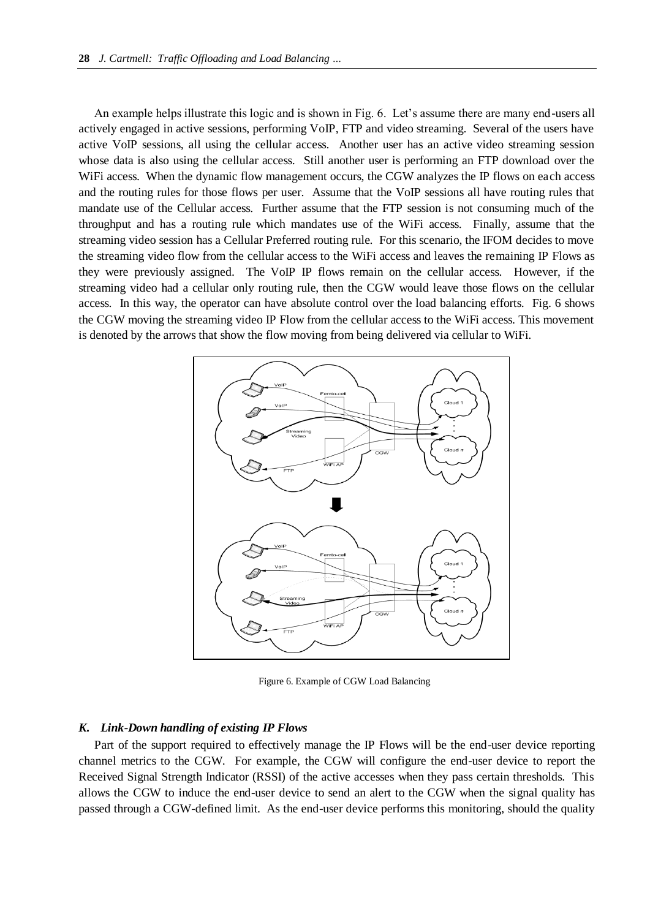An example helps illustrate this logic and is shown in Fig. 6. Let's assume there are many end-users all actively engaged in active sessions, performing VoIP, FTP and video streaming. Several of the users have active VoIP sessions, all using the cellular access. Another user has an active video streaming session whose data is also using the cellular access. Still another user is performing an FTP download over the WiFi access. When the dynamic flow management occurs, the CGW analyzes the IP flows on each access and the routing rules for those flows per user. Assume that the VoIP sessions all have routing rules that mandate use of the Cellular access. Further assume that the FTP session is not consuming much of the throughput and has a routing rule which mandates use of the WiFi access. Finally, assume that the streaming video session has a Cellular Preferred routing rule. For this scenario, the IFOM decides to move the streaming video flow from the cellular access to the WiFi access and leaves the remaining IP Flows as they were previously assigned. The VoIP IP flows remain on the cellular access. However, if the streaming video had a cellular only routing rule, then the CGW would leave those flows on the cellular access. In this way, the operator can have absolute control over the load balancing efforts. Fig. 6 shows the CGW moving the streaming video IP Flow from the cellular access to the WiFi access. This movement is denoted by the arrows that show the flow moving from being delivered via cellular to WiFi.



Figure 6. Example of CGW Load Balancing

## *K. Link-Down handling of existing IP Flows*

Part of the support required to effectively manage the IP Flows will be the end-user device reporting channel metrics to the CGW. For example, the CGW will configure the end-user device to report the Received Signal Strength Indicator (RSSI) of the active accesses when they pass certain thresholds. This allows the CGW to induce the end-user device to send an alert to the CGW when the signal quality has passed through a CGW-defined limit. As the end-user device performs this monitoring, should the quality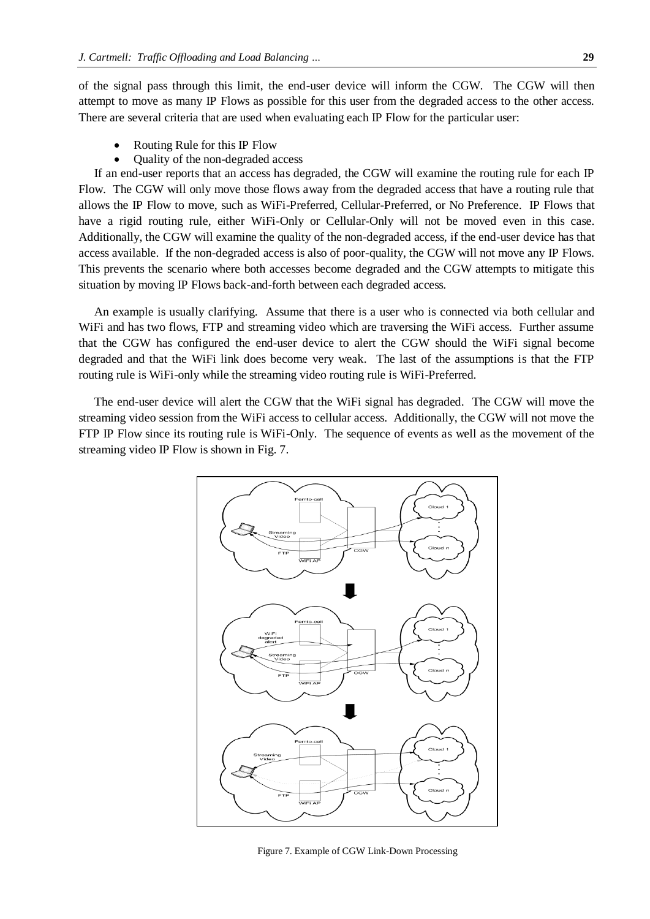of the signal pass through this limit, the end-user device will inform the CGW. The CGW will then attempt to move as many IP Flows as possible for this user from the degraded access to the other access. There are several criteria that are used when evaluating each IP Flow for the particular user:

- Routing Rule for this IP Flow
- Quality of the non-degraded access

If an end-user reports that an access has degraded, the CGW will examine the routing rule for each IP Flow. The CGW will only move those flows away from the degraded access that have a routing rule that allows the IP Flow to move, such as WiFi-Preferred, Cellular-Preferred, or No Preference. IP Flows that have a rigid routing rule, either WiFi-Only or Cellular-Only will not be moved even in this case. Additionally, the CGW will examine the quality of the non-degraded access, if the end-user device has that access available. If the non-degraded access is also of poor-quality, the CGW will not move any IP Flows. This prevents the scenario where both accesses become degraded and the CGW attempts to mitigate this situation by moving IP Flows back-and-forth between each degraded access.

An example is usually clarifying. Assume that there is a user who is connected via both cellular and WiFi and has two flows, FTP and streaming video which are traversing the WiFi access. Further assume that the CGW has configured the end-user device to alert the CGW should the WiFi signal become degraded and that the WiFi link does become very weak. The last of the assumptions is that the FTP routing rule is WiFi-only while the streaming video routing rule is WiFi-Preferred.

The end-user device will alert the CGW that the WiFi signal has degraded. The CGW will move the streaming video session from the WiFi access to cellular access. Additionally, the CGW will not move the FTP IP Flow since its routing rule is WiFi-Only. The sequence of events as well as the movement of the streaming video IP Flow is shown in Fig. 7.



Figure 7. Example of CGW Link-Down Processing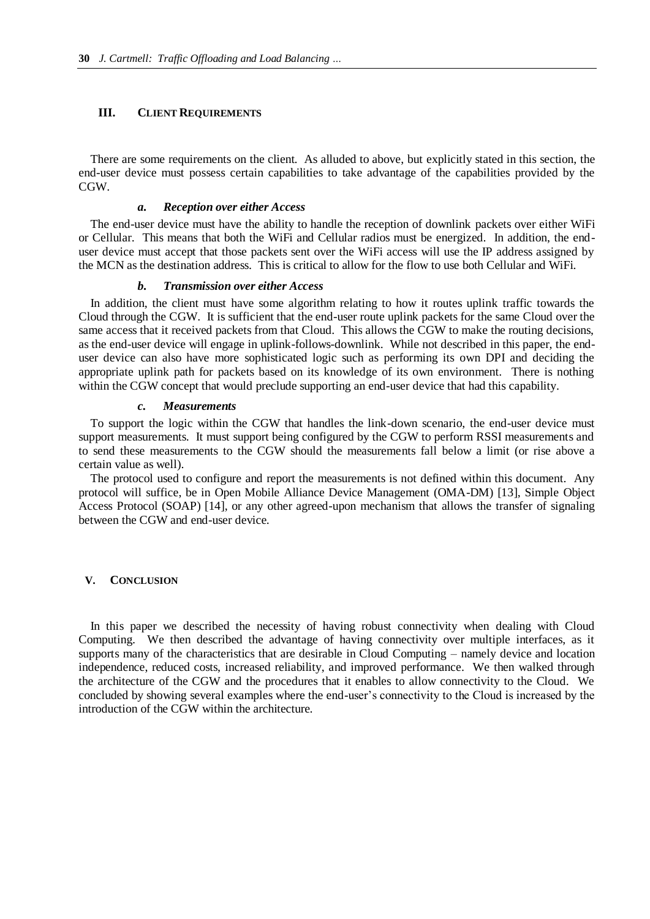# **III. CLIENT REQUIREMENTS**

There are some requirements on the client. As alluded to above, but explicitly stated in this section, the end-user device must possess certain capabilities to take advantage of the capabilities provided by the CGW.

# *a. Reception over either Access*

The end-user device must have the ability to handle the reception of downlink packets over either WiFi or Cellular. This means that both the WiFi and Cellular radios must be energized. In addition, the enduser device must accept that those packets sent over the WiFi access will use the IP address assigned by the MCN as the destination address. This is critical to allow for the flow to use both Cellular and WiFi.

## *b. Transmission over either Access*

In addition, the client must have some algorithm relating to how it routes uplink traffic towards the Cloud through the CGW. It is sufficient that the end-user route uplink packets for the same Cloud over the same access that it received packets from that Cloud. This allows the CGW to make the routing decisions, as the end-user device will engage in uplink-follows-downlink. While not described in this paper, the enduser device can also have more sophisticated logic such as performing its own DPI and deciding the appropriate uplink path for packets based on its knowledge of its own environment. There is nothing within the CGW concept that would preclude supporting an end-user device that had this capability.

#### *c. Measurements*

To support the logic within the CGW that handles the link-down scenario, the end-user device must support measurements. It must support being configured by the CGW to perform RSSI measurements and to send these measurements to the CGW should the measurements fall below a limit (or rise above a certain value as well).

The protocol used to configure and report the measurements is not defined within this document. Any protocol will suffice, be in Open Mobile Alliance Device Management (OMA-DM) [13], Simple Object Access Protocol (SOAP) [14], or any other agreed-upon mechanism that allows the transfer of signaling between the CGW and end-user device.

# **V. CONCLUSION**

In this paper we described the necessity of having robust connectivity when dealing with Cloud Computing. We then described the advantage of having connectivity over multiple interfaces, as it supports many of the characteristics that are desirable in Cloud Computing – namely device and location independence, reduced costs, increased reliability, and improved performance. We then walked through the architecture of the CGW and the procedures that it enables to allow connectivity to the Cloud. We concluded by showing several examples where the end-user"s connectivity to the Cloud is increased by the introduction of the CGW within the architecture.